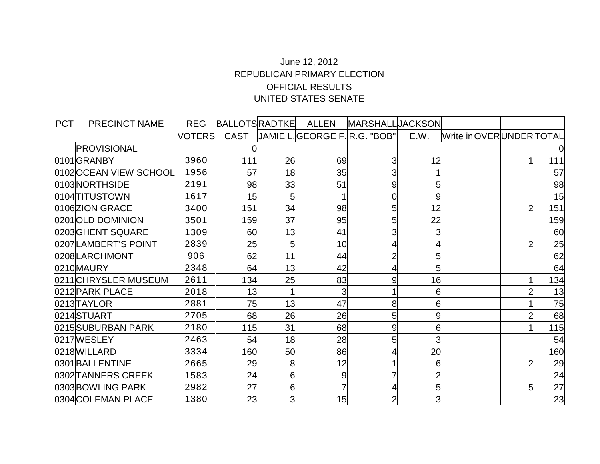## June 12, 2012 REPUBLICAN PRIMARY ELECTION OFFICIAL RESULTS UNITED STATES SENATE

| <b>PCT</b> | PRECINCT NAME         | <b>REG</b>    | <b>BALLOTSRADTKE</b> |                | ALLEN                              | <b>MARSHALLUACKSON</b> |                |  |                        |     |
|------------|-----------------------|---------------|----------------------|----------------|------------------------------------|------------------------|----------------|--|------------------------|-----|
|            |                       | <b>VOTERS</b> | CAST                 |                | <b>JAMIE L.GEORGE F.R.G. "BOB"</b> |                        | E.W.           |  | Write inOVERUNDERTOTAL |     |
|            | PROVISIONAL           |               |                      |                |                                    |                        |                |  |                        | Û   |
|            | 0101 GRANBY           | 3960          | 111                  | 26             | 69                                 |                        | 12             |  |                        | 111 |
|            | 0102OCEAN VIEW SCHOOL | 1956          | 57                   | 18             | 35                                 | 3                      |                |  |                        | 57  |
|            | 0103NORTHSIDE         | 2191          | 98                   | 33             | 51                                 | 9                      | 5 <sub>l</sub> |  |                        | 98  |
|            | 0104TITUSTOWN         | 1617          | 15                   | 5 <sub>1</sub> |                                    |                        | 9              |  |                        | 15  |
|            | 0106 ZION GRACE       | 3400          | 151                  | 34             | 98                                 | 5                      | 12             |  |                        | 151 |
|            | 0201 OLD DOMINION     | 3501          | 159                  | 37             | 95                                 | 5                      | 22             |  |                        | 159 |
|            | 0203GHENT SQUARE      | 1309          | 60                   | 13             | 41                                 |                        | $\overline{3}$ |  |                        | 60  |
|            | 0207LAMBERT'S POINT   | 2839          | 25                   | 5              | 10                                 |                        | 4              |  |                        | 25  |
|            | 0208LARCHMONT         | 906           | 62                   | 11             | 44                                 |                        | 5              |  |                        | 62  |
|            | 0210 MAURY            | 2348          | 64                   | 13             | 42                                 |                        | 5              |  |                        | 64  |
|            | 0211 CHRYSLER MUSEUM  | 2611          | 134                  | 25             | 83                                 | 9                      | 16             |  |                        | 134 |
|            | 0212 PARK PLACE       | 2018          | 13                   |                | 3                                  |                        | 6              |  |                        | 13  |
|            | 0213TAYLOR            | 2881          | 75                   | 13             | 47                                 | 8                      | $6 \,$         |  |                        | 75  |
|            | 0214STUART            | 2705          | 68                   | 26             | 26                                 | 5                      | 9              |  |                        | 68  |
|            | 0215 SUBURBAN PARK    | 2180          | 115                  | 31             | 68                                 | 9                      | 6              |  |                        | 115 |
|            | 0217WESLEY            | 2463          | 54                   | 18             | 28                                 |                        | $\overline{3}$ |  |                        | 54  |
|            | 0218WILLARD           | 3334          | 160                  | 50             | 86                                 |                        | 20             |  |                        | 160 |
|            | 0301BALLENTINE        | 2665          | 29                   | 8              | 12                                 |                        | 6              |  |                        | 29  |
|            | 0302TANNERS CREEK     | 1583          | 24                   | 61             | 9                                  |                        | $\overline{2}$ |  |                        | 24  |
|            | 0303BOWLING PARK      | 2982          | 27                   | $6 \mid$       | 7                                  |                        | 5 <sub>l</sub> |  | 5                      | 27  |
|            | 0304 COLEMAN PLACE    | 1380          | 23                   | 3              | 15                                 |                        | 3              |  |                        | 23  |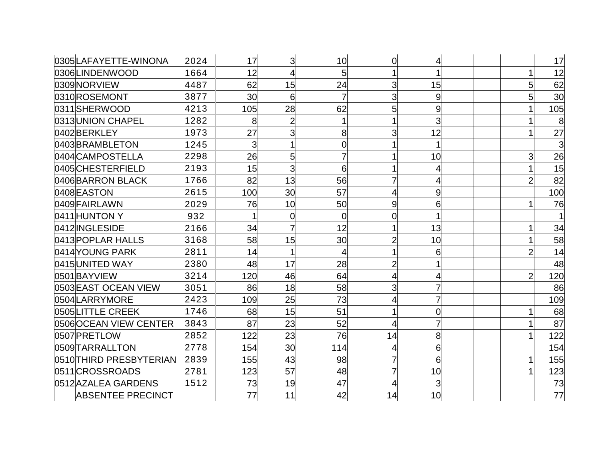| 0305LAFAYETTE-WINONA     | 2024 | 17             | 3              | 10             | 0              | 4  |  |                | 17  |
|--------------------------|------|----------------|----------------|----------------|----------------|----|--|----------------|-----|
| 0306LINDENWOOD           | 1664 | 12             | 4              | 5              |                |    |  |                | 12  |
| 0309NORVIEW              | 4487 | 62             | 15             | 24             | 3              | 15 |  | 5              | 62  |
| 0310ROSEMONT             | 3877 | 30             | 6              | 7              | 3              | 9  |  | 5              | 30  |
| 0311SHERWOOD             | 4213 | 105            | 28             | 62             | 5              | 9  |  |                | 105 |
| 0313 UNION CHAPEL        | 1282 | 8              | $\overline{2}$ |                |                | 3  |  |                | 8   |
| 0402BERKLEY              | 1973 | 27             | 3              | 8              | 3              | 12 |  |                | 27  |
| 0403BRAMBLETON           | 1245 | $\overline{3}$ |                | 0              |                |    |  |                | 3   |
| l0404lCAMPOSTELLA        | 2298 | 26             | 5              |                |                | 10 |  | 3              | 26  |
| 0405CHESTERFIELD         | 2193 | 15             | 3              | 6              |                |    |  |                | 15  |
| 0406 BARRON BLACK        | 1766 | 82             | 13             | 56             | 7              |    |  | 2              | 82  |
| 0408EASTON               | 2615 | 100            | 30             | 57             | 4              | 9  |  |                | 100 |
| 0409 FAIRLAWN            | 2029 | 76             | 10             | 50             | 9              | 6  |  |                | 76  |
| 0411 HUNTON Y            | 932  |                | $\mathbf 0$    | $\overline{0}$ | 0              |    |  |                |     |
| 0412 INGLESIDE           | 2166 | 34             |                | 12             |                | 13 |  |                | 34  |
| 0413 POPLAR HALLS        | 3168 | 58             | 15             | 30             | $\overline{c}$ | 10 |  |                | 58  |
| 0414 YOUNG PARK          | 2811 | 14             |                | 4              |                | 6  |  | 2              | 14  |
| 0415 UNITED WAY          | 2380 | 48             | 17             | 28             | $\overline{c}$ |    |  |                | 48  |
| 0501BAYVIEW              | 3214 | 120            | 46             | 64             |                |    |  | $\overline{2}$ | 120 |
| 0503 EAST OCEAN VIEW     | 3051 | 86             | 18             | 58             | 3              |    |  |                | 86  |
| 0504LARRYMORE            | 2423 | 109            | 25             | 73             | 4              |    |  |                | 109 |
| 0505LITTLE CREEK         | 1746 | 68             | 15             | 51             |                | 0  |  |                | 68  |
| 0506OCEAN VIEW CENTER    | 3843 | 87             | 23             | 52             | 4              |    |  |                | 87  |
| l0507 PRETLOW            | 2852 | 122            | 23             | 76             | 14             | 8  |  |                | 122 |
| 0509TARRALLTON           | 2778 | 154            | 30             | 114            |                | 6  |  |                | 154 |
| 0510THIRD PRESBYTERIAN   | 2839 | 155            | 43             | 98             | 7              | 6  |  |                | 155 |
| 0511 CROSSROADS          | 2781 | 123            | 57             | 48             | 7              | 10 |  |                | 123 |
| 0512 AZALEA GARDENS      | 1512 | 73             | 19             | 47             |                | 3  |  |                | 73  |
| <b>ABSENTEE PRECINCT</b> |      | 77             | 11             | 42             | 14             | 10 |  |                | 77  |